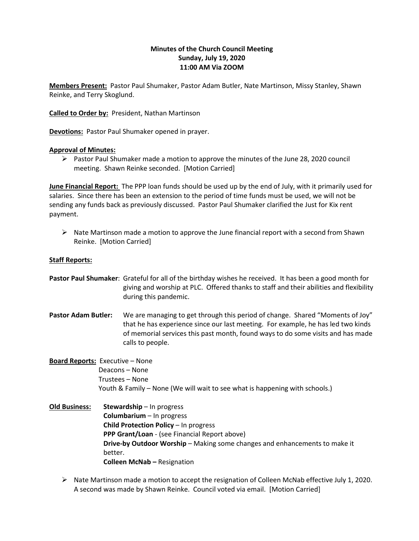# **Minutes of the Church Council Meeting Sunday, July 19, 2020 11:00 AM Via ZOOM**

**Members Present:** Pastor Paul Shumaker, Pastor Adam Butler, Nate Martinson, Missy Stanley, Shawn Reinke, and Terry Skoglund.

**Called to Order by:** President, Nathan Martinson

**Devotions:** Pastor Paul Shumaker opened in prayer.

## **Approval of Minutes:**

 $\triangleright$  Pastor Paul Shumaker made a motion to approve the minutes of the June 28, 2020 council meeting. Shawn Reinke seconded. [Motion Carried]

**June Financial Report:** The PPP loan funds should be used up by the end of July, with it primarily used for salaries. Since there has been an extension to the period of time funds must be used, we will not be sending any funds back as previously discussed. Pastor Paul Shumaker clarified the Just for Kix rent payment.

 $\triangleright$  Nate Martinson made a motion to approve the June financial report with a second from Shawn Reinke. [Motion Carried]

### **Staff Reports:**

**Pastor Paul Shumaker**: Grateful for all of the birthday wishes he received. It has been a good month for giving and worship at PLC. Offered thanks to staff and their abilities and flexibility during this pandemic.

**Pastor Adam Butler:** We are managing to get through this period of change. Shared "Moments of Joy" that he has experience since our last meeting. For example, he has led two kinds of memorial services this past month, found ways to do some visits and has made calls to people.

# **Board Reports:** Executive – None Deacons – None Trustees – None Youth & Family – None (We will wait to see what is happening with schools.)

**Old Business: Stewardship** – In progress **Columbarium** – In progress **Child Protection Policy** – In progress **PPP Grant/Loan** - (see Financial Report above) **Drive-by Outdoor Worship** – Making some changes and enhancements to make it better. **Colleen McNab –** Resignation

➢ Nate Martinson made a motion to accept the resignation of Colleen McNab effective July 1, 2020. A second was made by Shawn Reinke. Council voted via email. [Motion Carried]